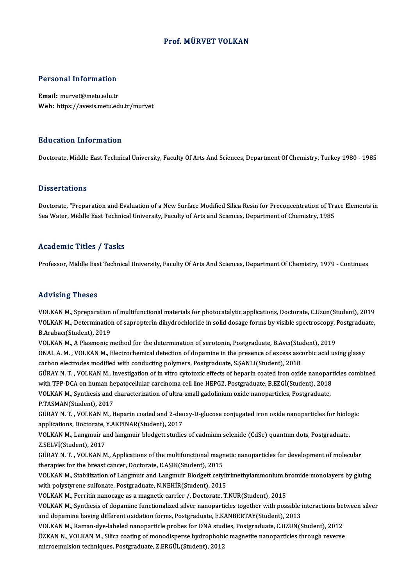## Prof.MÜRVET VOLKAN

# Personal Information

Personal Information<br>Email: murvet@metu.edu.tr<br>Web: https://avesis.metu.ed Email: murvet@metu.edu.tr<br>Web: https://avesis.metu.edu.tr/murvet

#### Education Information

Doctorate, Middle East Technical University, Faculty Of Arts And Sciences, Department Of Chemistry, Turkey 1980 - 1985

#### **Dissertations**

Doctorate, "Preparation and Evaluation of a New Surface Modified Silica Resin for Preconcentration of Trace Elements in Sea Water, Middle East Technical University, Faculty of Arts and Sciences, Department of Chemistry, 1985

## Academic Titles / Tasks

Professor, Middle East Technical University, Faculty Of Arts And Sciences, Department Of Chemistry, 1979 - Continues

#### Advising Theses

VOLKANM.,Spreparationofmultifunctionalmaterials for photocatalytic applications,Doctorate,C.Uzun(Student),2019 YOLKAN M., Spreparation of multifunctional materials for photocatalytic applications, Doctorate, C.Uzun(Student), 2019<br>VOLKAN M., Determination of sapropterin dihydrochloride in solid dosage forms by visible spectroscopy, VOLKAN M., Spreparation<br>VOLKAN M., Determination<br>B.Arabacı(Student), 2019<br>VOLKAN M. A Blasmonian VOLKAN M., Determination of sapropterin dihydrochloride in solid dosage forms by visible spectroscopy, l<br>B.Arabacı(Student), 2019<br>VOLKAN M., A Plasmonic method for the determination of serotonin, Postgraduate, B.Avcı(Stude

B.Arabacı(Student), 2019<br>VOLKAN M., A Plasmonic method for the determination of serotonin, Postgraduate, B.Avcı(Student), 2019<br>ÖNAL A. M. , VOLKAN M., Electrochemical detection of dopamine in the presence of excess ascorbi VOLKAN M., A Plasmonic method for the determination of serotonin, Postgraduate, B.Avcı(Student)<br>ÖNAL A. M. , VOLKAN M., Electrochemical detection of dopamine in the presence of excess asce<br>carbon electrodes modified with c ÖNAL A. M. , VOLKAN M., Electrochemical detection of dopamine in the presence of excess ascorbic acid using glassy<br>carbon electrodes modified with conducting polymers, Postgraduate, S.ŞANLI(Student), 2018<br>GÜRAY N. T. , VOL

carbon electrodes modified with conducting polymers, Postgraduate, S.ŞANLI(Student), 2018<br>GÜRAY N. T. , VOLKAN M., Investigation of in vitro cytotoxic effects of heparin coated iron oxide nanopart<br>with TPP-DCA on human hep GÜRAY N. T. , VOLKAN M., Investigation of in vitro cytotoxic effects of heparin coated iron oxide nanopar<br>with TPP-DCA on human hepatocellular carcinoma cell line HEPG2, Postgraduate, B.EZGİ(Student), 2018<br>VOLKAN M., Synth

with TPP-DCA on human he<br>VOLKAN M., Synthesis and<br>P.TASMAN(Student), 2017<br>C<sup>(IDAV N.T., VOLKAN M.T.</sup> VOLKAN M., Synthesis and characterization of ultra-small gadolinium oxide nanoparticles, Postgraduate,<br>P.TASMAN(Student), 2017<br>GÜRAY N. T. , VOLKAN M., Heparin coated and 2-deoxy-D-glucose conjugated iron oxide nanoparticl

P.TASMAN(Student), 2017<br>GÜRAY N. T. , VOLKAN M., Heparin coated and 2-dec<br>applications, Doctorate, Y.AKPINAR(Student), 2017<br>VOLKAN M. Langwuir and langwuir blodgett studie GÜRAY N. T. , VOLKAN M., Heparin coated and 2-deoxy-D-glucose conjugated iron oxide nanoparticles for biolo<br>applications, Doctorate, Y.AKPINAR(Student), 2017<br>VOLKAN M., Langmuir and langmuir blodgett studies of cadmium sel

applications, Doctorate, Y.AKPINAR(Student), 2017<br>VOLKAN M., Langmuir and langmuir blodgett studies of cadmium selenide (CdSe) quantum dots, Postgraduate,<br>Z.SELVİ(Student), 2017<br>GÜRAY N. T. , VOLKAN M., Applications of the VOLKAN M., Langmuir and langmuir blodgett studies of cadmium selenide (CdSe) quantum dots, Postgraduate,

therapies for the breast cancer, Doctorate, E.AŞIK(Student), 2015 GÜRAY N. T. , VOLKAN M., Applications of the multifunctional magnetic nanoparticles for development of molecular<br>therapies for the breast cancer, Doctorate, E.AŞIK(Student), 2015<br>VOLKAN M., Stabilization of Langmuir and La

therapies for the breast cancer, Doctorate, E.AŞIK(Student), 2015<br>VOLKAN M., Stabilization of Langmuir and Langmuir Blodgett cetylt<br>with polystyrene sulfonate, Postgraduate, N.NEHİR(Student), 2015<br>VOLKAN M., Ferritin panes VOLKAN M., Stabilization of Langmuir and Langmuir Blodgett cetyltrimethylammonium b<br>with polystyrene sulfonate, Postgraduate, N.NEHİR(Student), 2015<br>VOLKAN M., Ferritin nanocage as a magnetic carrier /, Doctorate, T.NUR(St

with polystyrene sulfonate, Postgraduate, N.NEHİR(Student), 2015<br>VOLKAN M., Ferritin nanocage as a magnetic carrier /, Doctorate, T.NUR(Student), 2015<br>VOLKAN M., Synthesis of dopamine functionalized silver nanoparticles to VOLKAN M., Ferritin nanocage as a magnetic carrier /, Doctorate, T.NUR(Student), 2015<br>VOLKAN M., Synthesis of dopamine functionalized silver nanoparticles together with possible i<br>and dopamine having different oxidation fo VOLKAN M., Synthesis of dopamine functionalized silver nanoparticles together with possible interactions bet<br>and dopamine having different oxidation forms, Postgraduate, E.KANBERTAY(Student), 2013<br>VOLKAN M., Raman-dye-labe

and dopamine having different oxidation forms, Postgraduate, E.KANBERTAY(Student), 2013<br>VOLKAN M., Raman-dye-labeled nanoparticle probes for DNA studies, Postgraduate, C.UZUN(Student), 2012<br>ÖZKAN N., VOLKAN M., Silica coat VOLKAN M., Raman-dye-labeled nanoparticle probes for DNA stud<br>ÖZKAN N., VOLKAN M., Silica coating of monodisperse hydrophobi<br>microemulsion techniques, Postgraduate, Z.ERGÜL(Student), 2012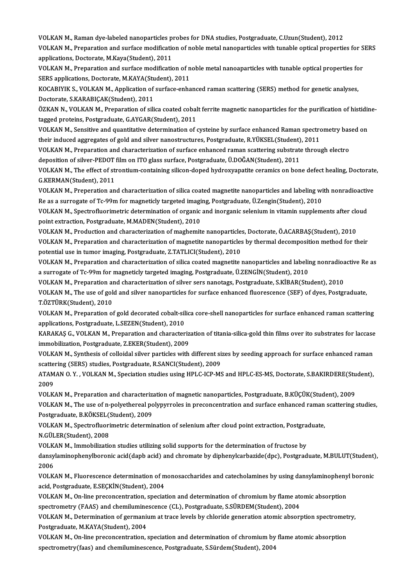VOLKAN M., Raman dye-labeled nanoparticles probes for DNA studies, Postgraduate, C.Uzun(Student), 2012<br>VOLKAN M., Preparation and surfase modification of noble motel papenenticles with tunable anticel prepartic VOLKAN M., Raman dye-labeled nanoparticles probes for DNA studies, Postgraduate, C.Uzun(Student), 2012<br>VOLKAN M., Preparation and surface modification of noble metal nanoparticles with tunable optical properties for SERS VOLKAN M., Raman dye-labeled nanoparticles p<br>VOLKAN M., Preparation and surface modification<br>applications, Doctorate, M.Kaya(Student), 2011<br>VOLKAN M., Preparation and surface modificatio VOLKAN M., Preparation and surface modification of noble metal nanoparticles with tunable optical properties for S<br>applications, Doctorate, M.Kaya(Student), 2011<br>VOLKAN M., Preparation and surface modification of noble met

applications, Doctorate, M.Kaya(Student), 2011<br>VOLKAN M., Preparation and surface modification of n<br>SERS applications, Doctorate, M.KAYA(Student), 2011<br>VOCARIVIK S. VOLKAN M. Application of surface onba VOLKAN M., Preparation and surface modification of noble metal nanoaparticles with tunable optical properties fo<br>SERS applications, Doctorate, M.KAYA(Student), 2011<br>KOCABIYIK S., VOLKAN M., Application of surface-enhanced

SERS applications, Doctorate, M.KAYA(Student), 2011<br>KOCABIYIK S., VOLKAN M., Application of surface-enha<br>Doctorate, S.KARABIÇAK(Student), 2011 KOCABIYIK S., VOLKAN M., Application of surface-enhanced raman scattering (SERS) method for genetic analyses,<br>Doctorate, S.KARABIÇAK(Student), 2011<br>ÖZKAN N., VOLKAN M., Preparation of silica coated cobalt ferrite magnetic

ÖZKAN N., VOLKAN M., Preparation of silica coated cobalt ferrite magnetic nanoparticles for the purification of histidine-ÖZKAN N., VOLKAN M., Preparation of silica coated cobalt ferrite magnetic nanoparticles for the purification of histidir<br>tagged proteins, Postgraduate, G.AYGAR(Student), 2011<br>VOLKAN M., Sensitive and quantitative determina

tagged proteins, Postgraduate, G.AYGAR(Student), 2011<br>VOLKAN M., Sensitive and quantitative determination of cysteine by surface enhanced Raman spectro<br>their induced aggregates of gold and silver nanostructures, Postgradua VOLKAN M., Sensitive and quantitative determination of cysteine by surface enhanced Raman spectrometry bas<br>their induced aggregates of gold and silver nanostructures, Postgraduate, R.YÜKSEL(Student), 2011<br>VOLKAN M., Prepar

their induced aggregates of gold and silver nanostructures, Postgraduate, R.YÜKSEL(Student), 2011<br>VOLKAN M., Preparation and characterization of surface enhanced raman scattering substrate through electro<br>deposition of sil VOLKAN M., Preparation and characterization of surface enhanced raman scattering substrate through electro<br>deposition of silver-PEDOT film on ITO glass surface, Postgraduate, Ü.DOĞAN(Student), 2011<br>VOLKAN M., The effect of

deposition of silver-PEDOT<br>VOLKAN M., The effect of str<br>G.KERMAN(Student), 2011<br>VOLKAN M. Preperation on VOLKAN M., The effect of strontium-containing silicon-doped hydroxyapatite ceramics on bone defect healing, Doctorate<br>G.KERMAN(Student), 2011<br>VOLKAN M., Preperation and characterization of silica coated magnetite nanoparti

G.KERMAN(Student), 2011<br>VOLKAN M., Preperation and characterization of silica coated magnetite nanoparticles and labeling wi<br>Re as a surrogate of Tc-99m for magneticly targeted imaging, Postgraduate, Ü.Zengin(Student), 201 VOLKAN M., Preperation and characterization of silica coated magnetite nanoparticles and labeling with nonradioactiv<br>Re as a surrogate of Tc-99m for magneticly targeted imaging, Postgraduate, Ü.Zengin(Student), 2010<br>VOLKAN

Re as a surrogate of Tc-99m for magneticly targeted imaging, Postgraduate, Ü.Zengin(Student), 2010<br>VOLKAN M., Spectrofluorimetric determination of organic and inorganic selenium in vitamin supplements after cloud<br>point ext VOLKAN M., Spectrofluorimetric determination of organic and inorganic selenium in vitamin supplements after clo<br>point extraction, Postgraduate, M.MADEN(Student), 2010<br>VOLKAN M., Production and characterization of maghemite

point extraction, Postgraduate, M.MADEN(Student), 2010<br>VOLKAN M., Production and characterization of maghemite nanoparticles, Doctorate, Ö.ACARBAŞ(Student), 2010<br>VOLKAN M., Preparation and characterization of magnetite nan VOLKAN M., Production and characterization of maghemite nanoparticle:<br>VOLKAN M., Preparation and characterization of magnetite nanoparticles<br>potential use in tumor imaging, Postgraduate, Z.TATLICI(Student), 2010<br>VOLKAN M. VOLKAN M., Preparation and characterization of magnetite nanoparticles by thermal decomposition method for their<br>potential use in tumor imaging, Postgraduate, Z.TATLICI(Student), 2010<br>VOLKAN M., Preparation and characteriz

potential use in tumor imaging, Postgraduate, Z.TATLICI(Student), 2010<br>VOLKAN M., Preparation and characterization of silica coated magnetite nanoparticles and labelii<br>a surrogate of Tc-99m for magneticly targeted imaging, VOLKAN M., Preparation and characterization of silica coated magnetite nanoparticles and labeling nonradioa<br>a surrogate of Tc-99m for magneticly targeted imaging, Postgraduate, Ü.ZENGİN(Student), 2010<br>VOLKAN M., Preparatio

VOLKAN M., Preparation and characterization of silver sers nanotags, Postgraduate, S.KİBAR(Student), 2010

a surrogate of Tc-99m for magneticly targeted imaging, Postgraduate, Ü.ZENGİN(Student), 2010<br>VOLKAN M., Preparation and characterization of silver sers nanotags, Postgraduate, S.KİBAR(Student), 2010<br>VOLKAN M., The use of g

VOLKAN M., Preparation of gold decorated cobalt-silica core-shell nanoparticles for surface enhanced raman scattering T.ÖZTÜRK(Student), 2010<br>VOLKAN M., Preparation of gold decorated cobalt-sil<br>applications, Postgraduate, L.SEZEN(Student), 2010<br>KARAKAS G. VOLKAN M. Preparation and character

KARAKAŞ G., VOLKAN M., Preparation and characterization of titania-silica-gold thin films over ito substrates for laccase<br>immobilization, Postgraduate, Z.EKER(Student), 2009 applications, Postgraduate, L.SEZEN(Student), 2010<br>KARAKAŞ G., VOLKAN M., Preparation and characteriz<br>immobilization, Postgraduate, Z.EKER(Student), 2009<br>VOLKAN M. Synthosis of colloidal silver porticles uith KARAKAŞ G., VOLKAN M., Preparation and characterization of titania-silica-gold thin films over ito substrates for laccase<br>immobilization, Postgraduate, Z.EKER(Student), 2009<br>VOLKAN M., Synthesis of colloidal silver particl

immobilization, Postgraduate, Z.EKER(Student), 2009<br>VOLKAN M., Synthesis of colloidal silver particles with different si:<br>scattering (SERS) studies, Postgraduate, R.SANCI(Student), 2009<br>ATAMAN O. Y., VOLKAN M. Speciation s VOLKAN M., Synthesis of colloidal silver particles with different sizes by seeding approach for surface enhanced raman<br>scattering (SERS) studies, Postgraduate, R.SANCI(Student), 2009<br>ATAMAN O. Y. , VOLKAN M., Speciation st

scattering (SERS) studies, Postgraduate, R.SANCI(Student), 2009<br>ATAMAN O. Y. , VOLKAN M., Speciation studies using HPLC-ICP-MS and HPLC-ES-MS, Doctorate, S.BAKIRDERE(Stu<br>2009<br>VOLKAN M., Preparation and characterization of ATAMAN O.Y., VOLKAN M., Speciation studies using HPLC-ICP-MS and HPLC-ES-MS, Doctorate, S.BAKIRDERE(Student),

2009<br>VOLKAN M., Preparation and characterization of magnetic nanoparticles, Postgraduate, B.KÜÇÜK(Student), 2009<br>VOLKAN M., The use of n-polyethereal polypyrroles in preconcentration and surface enhanced raman scattering s VOLKAN M., Preparation and characteriz:<br>VOLKAN M., The use of n-polyethereal po<br>Postgraduate, B.KÖKSEL(Student), 2009<br>VOLKAN M., Spectrofluorimetric determi VOLKAN M., The use of n-polyethereal polypyrroles in preconcentration and surface enhanced raman<br>Postgraduate, B.KÖKSEL(Student), 2009<br>VOLKAN M., Spectrofluorimetric determination of selenium after cloud point extraction,

Postgraduate, B.KÖKSEL(!<br>VOLKAN M., Spectrofluori<br>N.GÜLER(Student), 2008<br>VOLKAN M. Immobilizatie VOLKAN M., Spectrofluorimetric determination of selenium after cloud point extraction, Postgra<br>N.GÜLER(Student), 2008<br>VOLKAN M., Immobilization studies utilizing solid supports for the determination of fructose by<br>dangylam

N.GÜLER(Student), 2008<br>VOLKAN M., Immobilization studies utilizing solid supports for the determination of fructose by<br>dansylaminophenylboronic acid(dapb acid) and chromate by diphenylcarbazide(dpc), Postgraduate, M.BULUT( VOLK<br>dansy<br>2006<br>VOLK dansylaminophenylboronic acid(dapb acid) and chromate by diphenylcarbazide(dpc), Postgraduate, M.BULUT(Student)<br>2006<br>VOLKAN M., Fluorescence determination of monosaccharides and catecholamines by using dansylaminophenyl bo

2006<br>VOLKAN M., Fluorescence determination of monosaccharides and catecholamines by using dansylaminophenyl boronic<br>acid, Postgraduate, E.SECKİN(Student), 2004 VOLKAN M., Fluorescence determination of monosaccharides and catecholamines by using dansylaminopheny<br>acid, Postgraduate, E.SEÇKİN(Student), 2004<br>VOLKAN M., On-line preconcentration, speciation and determination of chromiu

acid, Postgraduate, E.SEÇKİN(Student), 2004<br>VOLKAN M., On-line preconcentration, speciation and determination of chromium by flame ato<br>spectrometry (FAAS) and chemiluminescence (CL), Postgraduate, S.SÜRDEM(Student), 2004<br>V VOLKAN M., On-line preconcentration, speciation and determination of chromium by flame atomic absorption<br>spectrometry (FAAS) and chemiluminescence (CL), Postgraduate, S.SÜRDEM(Student), 2004<br>VOLKAN M., Determination of ger

spectrometry (FAAS) and chemilumine<br>VOLKAN M., Determination of germanii<br>Postgraduate, M.KAYA(Student), 2004<br>VOLKAN M. On line presensentration VOLKAN M., Determination of germanium at trace levels by chloride generation atomic absorption spectromet<br>Postgraduate, M.KAYA(Student), 2004<br>VOLKAN M., On-line preconcentration, speciation and determination of chromium by

Postgraduate, M.KAYA(Student), 2004<br>VOLKAN M., On-line preconcentration, speciation and determination of chromium by flame atomic absorption<br>spectrometry(faas) and chemiluminescence, Postgraduate, S.Sürdem(Student), 2004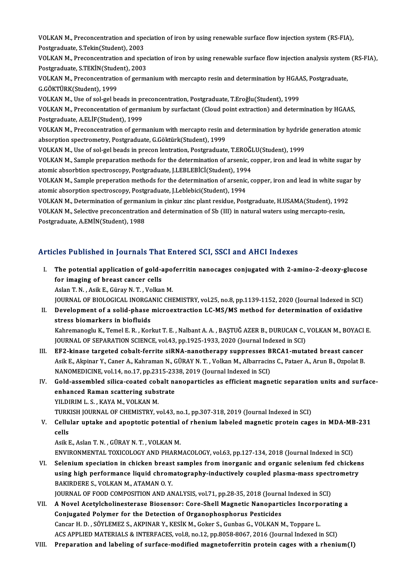VOLKAN M., Preconcentration and speciation of iron by using renewable surface flow injection system (RS-FIA),<br>Restanaduate S.Tekin(Student), 2002 VOLKAN M., Preconcentration and spe<br>Postgraduate, S.Tekin(Student), 2003<br>VOLKAN M., Presensentration and and VOLKAN M., Preconcentration and speciation of iron by using renewable surface flow injection system (RS-FIA),<br>Postgraduate, S.Tekin(Student), 2003<br>VOLKAN M., Preconcentration and speciation of iron by using renewable surfa

Postgraduate, S.Tekin(Student), 2003<br>VOLKAN M., Preconcentration and spec<br>Postgraduate, S.TEKİN(Student), 2003<br>VOLKAN M. Preconsentration of serms VOLKAN M., Preconcentration and speciation of iron by using renewable surface flow injection analysis system<br>Postgraduate, S.TEKİN(Student), 2003<br>VOLKAN M., Preconcentration of germanium with mercapto resin and determinati

Postgraduate, S.TEKİN(Stude<br>VOLKAN M., Preconcentratio<br>G.GÖKTÜRK(Student), 1999<br>VOLKAN M. Use of sel sel be VOLKAN M., Preconcentration of germanium with mercapto resin and determination by HGAA<br>G.GÖKTÜRK(Student), 1999<br>VOLKAN M., Use of sol-gel beads in preconcentration, Postgraduate, T.Eroğlu(Student), 1999<br>VOLKAN M., Preconce

VOLKAN M., Use of sol-gel beads in preconcentration, Postgraduate, T.Eroğlu (Student), 1999

G.GÖKTÜRK(Student), 1999<br>VOLKAN M., Use of sol-gel beads in preconcentration, Postgraduate, T.Eroğlu(Student), 1999<br>VOLKAN M., Preconcentation of germanium by surfactant (Cloud point extraction) and determination by HGAAS, VOLKAN M., Preconcentation of germanium by surfactant (Cloud point extraction) and determination by HGAAS,<br>Postgraduate, A.ELİF(Student), 1999<br>VOLKAN M., Preconcentration of germanium with mercapto resin and determination

Postgraduate, A.ELİF(Student), 1999<br>VOLKAN M., Preconcentration of germanium with mercapto resin a<br>absorption spectrometry, Postgraduate, G.Göktürk(Student), 1999<br>VOLKAN M. Hae of sel sel beads in presen lentration. Bestgr VOLKAN M., Preconcentration of germanium with mercapto resin and determination by hydride<br>absorption spectrometry, Postgraduate, G.Göktürk(Student), 1999<br>VOLKAN M., Use of sol-gel beads in precon lentration, Postgraduate,

absorption spectrometry, Postgraduate, G.Göktürk(Student), 1999<br>VOLKAN M., Use of sol-gel beads in precon lentration, Postgraduate, T.EROĞLU(Student), 1999<br>VOLKAN M., Sample preparation methods for the determination of ars VOLKAN M., Use of sol-gel beads in precon lentration, Postgraduate, T.EROĞI<br>VOLKAN M., Sample preparation methods for the determination of arsenic, c<br>atomic absorbtion spectroscopy, Postgraduate, J.LEBLEBİCİ(Student), 1994 VOLKAN M., Sample preparation methods for the determination of arsenic, copper, iron and lead in white sugar by<br>atomic absorbtion spectroscopy, Postgraduate, J.LEBLEBİCİ(Student), 1994<br>VOLKAN M., Sample preperation methods

atomic absorbtion spectroscopy, Postgraduate, J.LEBLEBİCİ(Student), 1994<br>VOLKAN M., Sample preperation methods for the determination of arsenic<br>atomic absorption spectroscopy, Postgraduate, J.Leblebici(Student), 1994<br>VOLKA VOLKAN M., Sample preperation methods for the determination of arsenic, copper, iron and lead in white sugar<br>atomic absorption spectroscopy, Postgraduate, J.Leblebici(Student), 1994<br>VOLKAN M., Determination of germanium in

atomic absorption spectroscopy, Postgraduate, J.Leblebici(Student), 1994<br>VOLKAN M., Determination of germanium in çinkur zinc plant residue, Postgraduate, H.USAMA(Student), 1992<br>VOLKAN M., Selective preconcentration and de

Postgraduate, A.EMİN(Student), 1988

# Articles Published in Journals That Entered SCI, SSCI and AHCI Indexes

rticles Published in Journals That Entered SCI, SSCI and AHCI Indexes<br>I. The potential application of gold-apoferritin nanocages conjugated with 2-amino-2-deoxy-glucose<br>for imaging of breast cancer sells The potential application of gold-<br>for imaging of breast cancer cells<br> $\Lambda$ clan T.  $M$ ,  $\Lambda$ cik E. Günav M. T. Volkan for imaging of breast cancer cells<br>Aslan T.N., Asik E., Güray N.T., Volkan M.

for i<mark>maging of breast cancer cells</mark><br>Aslan T. N. , Asik E., Güray N. T. , Volkan M.<br>JOURNAL OF BIOLOGICAL INORGANIC CHEMISTRY, vol.25, no.8, pp.1139-1152, 2020 (Journal Indexed in SCI)<br>Dovelopment of a solid phase misroeyt

Aslan T. N. , Asik E., Güray N. T. , Volkan M.<br>JOURNAL OF BIOLOGICAL INORGANIC CHEMISTRY, vol.25, no.8, pp.1139-1152, 2020 (Journal Indexed in SCI)<br>II. Development of a solid-phase microextraction LC-MS/MS method for deter JOURNAL OF BIOLOGICAL INORGA<br>Development of a solid-phase<br>stress biomarkers in biofluids<br>Kahnamanaglu K. Tamal E. B., Kan Development of a solid-phase microextraction LC-MS/MS method for determination of oxidative<br>stress biomarkers in biofluids<br>Kahremanoglu K., Temel E. R. , Korkut T. E. , Nalbant A. A. , BAŞTUĞ AZER B., DURUCAN C., VOLKAN M. stress biomarkers in biofluids<br>Kahremanoglu K., Temel E. R. , Korkut T. E. , Nalbant A. A. , BAŞTUĞ AZER B., DURUCAN C.,<br>JOURNAL OF SEPARATION SCIENCE, vol.43, pp.1925-1933, 2020 (Journal Indexed in SCI)<br>EE2, kiness tarsat

Kahremanoglu K., Temel E. R., Korkut T. E., Nalbant A. A., BAŞTUĞ AZER B., DURUCAN C., VOLKAN M., BOYACI<br>JOURNAL OF SEPARATION SCIENCE, vol.43, pp.1925-1933, 2020 (Journal Indexed in SCI)<br>III. EF2-kinase targeted cobalt-fe

- JOURNAL OF SEPARATION SCIENCE, vol.43, pp.1925-1933, 2020 (Journal Indexed in SCI)<br>EF2-kinase targeted cobalt-ferrite siRNA-nanotherapy suppresses BRCA1-mutated breast cancer<br>Asik E., Akpinar Y., Caner A., Kahraman N., GÜR III. EF2-kinase targeted cobalt-ferrite siRNA-nanotherapy suppresses BRCA1-mutated breast cancer Asik E., Akpinar Y., Caner A., Kahraman N., GÜRAY N. T. , Volkan M., Albarracins C., Pataer A., Arun B., Ozpolat B.<br>NANOMEDICINE, vol.14, no.17, pp.2315-2338, 2019 (Journal Indexed in SCI)<br>IV. Gold-assembled silica-coated
- NANOMEDICINE, vol.14, no.17, pp.2315-23.<br>Gold-assembled silica-coated cobalt na<br>enhanced Raman scattering substrate<br>VU DIPIM L.S., KAYA M. VOLKAN M. Gold-assembled silica-coated cob<br>enhanced Raman scattering subs<br>YILDIRIM L. S. , KAYA M., VOLKAN M.<br>TIBVISH JOUBNAL OF CHEMISTBY v enhanced Raman scattering substrate<br>TILDIRIM L. S. , KAYA M., VOLKAN M.<br>TURKISH JOURNAL OF CHEMISTRY, vol.43, no.1, pp.307-318, 2019 (Journal Indexed in SCI)

YILDIRIM L. S. , KAYA M., VOLKAN M.<br>TURKISH JOURNAL OF CHEMISTRY, vol.43, no.1, pp.307-318, 2019 (Journal Indexed in SCI)<br>V. Cellular uptake and apoptotic potential of rhenium labeled magnetic protein cages in MDA-MB-2 TURK<br>Cellu<br>cells<br>Asik E Cellular uptake and apoptotic potential<br>cells<br>Asik E., Aslan T. N. , GÜRAY N. T. , VOLKAN M.<br>ENWPONMENTAL TOYICOLOCY AND BHARM cells<br>Asik E., Aslan T. N. , GÜRAY N. T. , VOLKAN M.<br>ENVIRONMENTAL TOXICOLOGY AND PHARMACOLOGY, vol.63, pp.127-134, 2018 (Journal Indexed in SCI)<br>Selenium speciation in shielten breest semples from inerganis and erganis se

Asik E., Aslan T. N. , GÜRAY N. T. , VOLKAN M.<br>ENVIRONMENTAL TOXICOLOGY AND PHARMACOLOGY, vol.63, pp.127-134, 2018 (Journal Indexed in SCI)<br>VI. Selenium speciation in chicken breast samples from inorganic and organic selen ENVIRONMENTAL TOXICOLOGY AND PHARMACOLOGY, vol.63, pp.127-134, 2018 (Journal Indexed in SCI)<br>Selenium speciation in chicken breast samples from inorganic and organic selenium fed chicken<br>using high performance liquid chrom Selenium speciation in chicken breast<br>using high performance liquid chrom<br>BAKIRDERE S., VOLKAN M., ATAMAN 0. Y.<br>JOUPNAL OF FOOD COMPOSITION AND AN using high performance liquid chromatography-inductively coupled plasma-mass spect<br>BAKIRDERE S., VOLKAN M., ATAMAN O. Y.<br>JOURNAL OF FOOD COMPOSITION AND ANALYSIS, vol.71, pp.28-35, 2018 (Journal Indexed in SCI)<br>A Novel Ass

BAKIRDERE S., VOLKAN M., ATAMAN O. Y.<br>JOURNAL OF FOOD COMPOSITION AND ANALYSIS, vol.71, pp.28-35, 2018 (Journal Indexed in SCI)<br>VII. A Novel Acetylcholinesterase Biosensor: Core-Shell Magnetic Nanoparticles Incorporating a JOURNAL OF FOOD COMPOSITION AND ANALYSIS, vol.71, pp.28-35, 2018 (Journal)<br>A Novel Acetylcholinesterase Biosensor: Core-Shell Magnetic Nanoparticonjugated Polymer for the Detection of Organophosphorus Pesticides<br>Consul H. A Novel Acetylcholinesterase Biosensor: Core-Shell Magnetic Nanoparticles Incorpo<br>Conjugated Polymer for the Detection of Organophosphorus Pesticides<br>Cancar H. D. , SÖYLEMEZ S., AKPINAR Y., KESİK M., Goker S., Gunbas G., V Conjugated Polymer for the Detection of Organophosphorus Pesticides<br>Cancar H. D. , SÖYLEMEZ S., AKPINAR Y., KESİK M., Goker S., Gunbas G., VOLKAN M., Toppare L.<br>ACS APPLIED MATERIALS & INTERFACES, vol.8, no.12, pp.8058-806

ACS APPLIED MATERIALS & INTERFACES, vol.8, no.12, pp.8058-8067, 2016 (Journal Indexed in SCI)<br>VIII. Preparation and labeling of surface-modified magnetoferritin protein cages with a rhenium(I)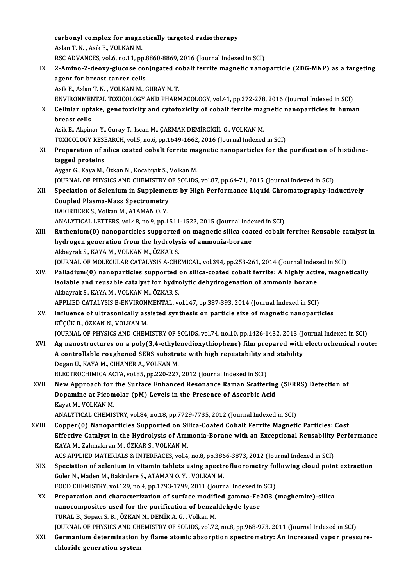carbonyl complex for magnetically targeted radiotherapy carbonyl complex for magne<br>Aslan T.N., Asik E., VOLKAN M.<br>BSC ADVANCES vol 6 no 11 nn Aslan T. N., Asik E., VOLKAN M.<br>RSC ADVANCES, vol.6, no.11, pp.8860-8869, 2016 (Journal Indexed in SCI) Aslan T. N. , Asik E., VOLKAN M.<br>RSC ADVANCES, vol.6, no.11, pp.8860-8869, 2016 (Journal Indexed in SCI)<br>IX. 2-Amino-2-deoxy-glucose conjugated cobalt ferrite magnetic nanoparticle (2DG-MNP) as a targeting<br>agent for br RSC ADVANCES, vol.6, no.11, pp.<br>2-Amino-2-deoxy-glucose com<br>agent for breast cancer cells<br>Asik E. Aslan T. N., VOLKAN M. ( 2-Amino-2-deoxy-glucose conjugated confinent<br>agent for breast cancer cells<br>Asik E., Aslan T. N. , VOLKAN M., GÜRAY N. T.<br>ENWRONMENTAL TOYICOLOCY AND PHAPA agent for breast cancer cells<br>Asik E., Aslan T. N. , VOLKAN M., GÜRAY N. T.<br>ENVIRONMENTAL TOXICOLOGY AND PHARMACOLOGY, vol.41, pp.272-278, 2016 (Journal Indexed in SCI)<br>Cellular untake, genetoxisity and sytetoxisity of seb Asik E., Aslan T. N. , VOLKAN M., GÜRAY N. T.<br>ENVIRONMENTAL TOXICOLOGY AND PHARMACOLOGY, vol.41, pp.272-278, 2016 (Journal Indexed in SCI)<br>X. Cellular uptake, genotoxicity and cytotoxicity of cobalt ferrite magnetic na ENVIRONMEN<br>Cellular upt<br>breast cells<br>Asik E. Almin Asik E., Akpinar Y., Guray T., Iscan M., ÇAKMAK DEMİRCİGİL G., VOLKAN M. breast cells<br>Asik E., Akpinar Y., Guray T., Iscan M., ÇAKMAK DEMİRCİGİL G., VOLKAN M.<br>TOXICOLOGY RESEARCH, vol.5, no.6, pp.1649-1662, 2016 (Journal Indexed in SCI)<br>Preperation of silise seeted sebelt forrite megnetis penep XI. Preparation of silica coated cobalt ferrite magnetic nanoparticles for the purification of histidine-<br>tagged proteins TOXICOLOGY RESE<br>Preparation of s<br>tagged proteins<br>Avgar C. Kave M AygarG.,KayaM.,ÖzkanN.,KocabıyıkS.,VolkanM. t<mark>agged proteins</mark><br>Aygar G., Kaya M., Özkan N., Kocabıyık S., Volkan M.<br>JOURNAL OF PHYSICS AND CHEMISTRY OF SOLIDS, vol.87, pp.64-71, 2015 (Journal Indexed in SCI)<br>Speciation of Solonium in Sunnloments by Hish Borformanes L Aygar G., Kaya M., Özkan N., Kocabıyık S., Volkan M.<br>JOURNAL OF PHYSICS AND CHEMISTRY OF SOLIDS, vol.87, pp.64-71, 2015 (Journal Indexed in SCI)<br>XII. Speciation of Selenium in Supplements by High Performance Liquid Chr **JOURNAL OF PHYSICS AND CHEMISTRY (Speciation of Selenium in Supplemer<br>Coupled Plasma-Mass Spectrometry**<br>RAKIRDERE S, Volken M, ATAMAN O V Speciation of Selenium in Suppleme<br>Coupled Plasma-Mass Spectrometry<br>BAKIRDERE S., Volkan M., ATAMAN 0. Y.<br>ANALYTICAL LETTERS vol 49 no 9 nn 1 Coupled Plasma-Mass Spectrometry<br>BAKIRDERE S., Volkan M., ATAMAN 0. Y.<br>ANALYTICAL LETTERS, vol.48, no.9, pp.1511-1523, 2015 (Journal Indexed in SCI)<br>Buthenium(0), penenestiales sunnested en magnetis silise sected sebelt. BAKIRDERE S., Volkan M., ATAMAN O. Y.<br>ANALYTICAL LETTERS, vol.48, no.9, pp.1511-1523, 2015 (Journal Indexed in SCI)<br>XIII. Ruthenium(0) nanoparticles supported on magnetic silica coated cobalt ferrite: Reusable catalyst in<br> ANALYTICAL LETTERS, vol.48, no.9, pp.1511-1523, 2015 (Journal Inde<br>Ruthenium(0) nanoparticles supported on magnetic silica coat<br>hydrogen generation from the hydrolysis of ammonia-borane<br>Akhayrak S. KAYA M. VOLKAN M. ÖZKAR Ruthenium(0) nanoparticles supported<br>hydrogen generation from the hydrolys<br>Akbayrak S., KAYA M., VOLKAN M., ÖZKAR S.<br>JOUPNAL OF MOLECULAR CATALYSIS A CHE hydrogen generation from the hydrolysis of ammonia-borane<br>Akbayrak S., KAYA M., VOLKAN M., ÖZKAR S.<br>JOURNAL OF MOLECULAR CATALYSIS A-CHEMICAL, vol.394, pp.253-261, 2014 (Journal Indexed in SCI)<br>Palladium(0), paponartisks s Akbayrak S., KAYA M., VOLKAN M., ÖZKAR S.<br>JOURNAL OF MOLECULAR CATALYSIS A-CHEMICAL, vol.394, pp.253-261, 2014 (Journal Indexed in SCI)<br>XIV. Palladium(0) nanoparticles supported on silica-coated cobalt ferrite: A highly ac JOURNAL OF MOLECULAR CATALYSIS A-CHEMICAL, vol.394, pp.253-261, 2014 (Journal Index<br>Palladium(0) nanoparticles supported on silica-coated cobalt ferrite: A highly activisolable and reusable catalyst for hydrolytic dehydrog Palladium(0) nanoparticles supported<br>isolable and reusable catalyst for hydro<br>Akbayrak S., KAYA M., VOLKAN M., ÖZKAR S.<br>APPLIED CATALYSIS P ENVIDONMENTAL .v isolable and reusable catalyst for hydrolytic dehydrogenation of ammonia borane<br>Akbayrak S., KAYA M., VOLKAN M., ÖZKAR S.<br>APPLIED CATALYSIS B-ENVIRONMENTAL, vol.147, pp.387-393, 2014 (Journal Indexed in SCI) XV. Influence of ultrasonically assisted synthesis on particle size of magnetic nanoparticles KÜÇÜK B., ÖZKAN N., VOLKAN M. JOURNAL OF PHYSICS AND CHEMISTRY OF SOLIDS, vol.74, no.10, pp.1426-1432, 2013 (Journal Indexed in SCI) XVI. Ag nanostructures on a poly(3,4-ethylenedioxythiophene) filmprepared with electrochemical route: JOURNAL OF PHYSICS AND CHEMISTRY OF SOLIDS, vol.74, no.10, pp.1426-1432, 2013 (J.<br>Ag nanostructures on a poly(3,4-ethylenedioxythiophene) film prepared with<br>A controllable roughened SERS substrate with high repeatability a Ag nanostructures on a poly(3,4-ethyle<br>A controllable roughened SERS substra<br>Dogan U., KAYA M., CİHANER A., VOLKAN M.<br>ELECTROCHIMICA ACTA vel 85-nn 220-227 A controllable roughened SERS substrate with high repeatability an<br>Dogan U., KAYA M., CİHANER A., VOLKAN M.<br>ELECTROCHIMICA ACTA, vol.85, pp.220-227, 2012 (Journal Indexed in SCI)<br>Navy Annroash for the Surface Enhanced Bess Dogan U., KAYA M., CİHANER A., VOLKAN M.<br>ELECTROCHIMICA ACTA, vol.85, pp.220-227, 2012 (Journal Indexed in SCI)<br>XVII. New Approach for the Surface Enhanced Resonance Raman Scattering (SERRS) Detection of ELECTROCHIMICA ACTA, vol.85, pp.220-227, 2012 (Journal Indexed in SCI)<br>New Approach for the Surface Enhanced Resonance Raman Scattering<br>Dopamine at Picomolar (pM) Levels in the Presence of Ascorbic Acid<br>Kayat M., VOLKAN M. New Approach for<br>Dopamine at Picom<br>Kayat M., VOLKAN M.<br>ANALYTICAL CHEMIS ANALYTICAL CHEMISTRY, vol.84, no.18, pp.7729-7735, 2012 (Journal Indexed in SCI) XVIII. Copper(0) Nanoparticles Supported on Silica-Coated Cobalt Ferrite Magnetic Particles: Cost Effective Catalyst in the Hydrolysis of Ammonia-Borane with an Exceptional Reusability Performance KAYA M., Zahmakıran M., ÖZKAR S., VOLKAN M. ACS APPLIED MATERIALS & INTERFACES, vol.4, no.8, pp.3866-3873, 2012 (Journal Indexed in SCI) KAYA M., Zahmakıran M., ÖZKAR S., VOLKAN M.<br>ACS APPLIED MATERIALS & INTERFACES, vol.4, no.8, pp.3866-3873, 2012 (Journal Indexed in SCI)<br>XIX. Speciation of selenium in vitamin tablets using spectrofluorometry following clo ACS APPLIED MATERIALS & INTERFACES, vol.4, no.8, pp.386<br>Speciation of selenium in vitamin tablets using spectr<br>Guler N., Maden M., Bakirdere S., ATAMAN O.Y. , VOLKAN M.<br>FOOD CHEMISTRY vol.129, no.4, np.1792-1799-2011 (Jour Speciation of selenium in vitamin tablets using spectrofluorometry fol<br>Guler N., Maden M., Bakirdere S., ATAMAN O.Y. , VOLKAN M.<br>FOOD CHEMISTRY, vol.129, no.4, pp.1793-1799, 2011 (Journal Indexed in SCI)<br>Preperation and sh Guler N., Maden M., Bakirdere S., ATAMAN O. Y. , VOLKAN M.<br>FOOD CHEMISTRY, vol.129, no.4, pp.1793-1799, 2011 (Journal Indexed in SCI)<br>XX. Preparation and characterization of surface modified gamma-Fe2O3 (maghemite)-silica<br> FOOD CHEMISTRY, vol.129, no.4, pp.1793-1799, 2011 (Journal Indexed in SCI)<br>Preparation and characterization of surface modified gamma-Fe2O3 (nanocomposites used for the purification of benzaldehyde lyase<br>TURAL B., Sopaci S Preparation and characterization of surface modifi<br>nanocomposites used for the purification of benza<br>TURAL B., Sopaci S. B. , ÖZKAN N., DEMÌR A. G. , Volkan M.<br>JOUPNAL OF PUYSICS AND CHEMISTRY OF SOLIDS VOLZ? JOURNAL OF PHYSICS AND CHEMISTRY OF SOLIDS, vol.72, no.8, pp.968-973, 2011 (Journal Indexed in SCI) TURAL B., Sopaci S. B. , ÖZKAN N., DEMİR A. G. , Volkan M.<br>JOURNAL OF PHYSICS AND CHEMISTRY OF SOLIDS, vol.72, no.8, pp.968-973, 2011 (Journal Indexed in SCI)<br>XXI. Germanium determination by flame atomic absorption spe JOURNAL OF PHYSICS AND CH<br>Germanium determination<br>chloride generation system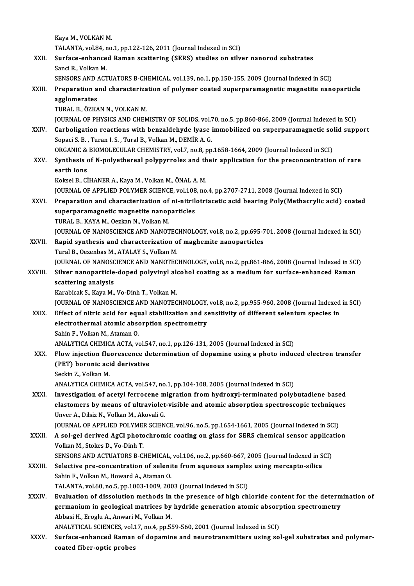Kaya M., VOLKAN M. Kaya M., VOLKAN M.<br>TALANTA, vol.84, no.1, pp.122-126, 2011 (Journal Indexed in SCI)<br>Surface enhanged Baman seattering (SEPS) studies on eily XXII. Surface-enhanced Raman scattering (SERS) studies on silver nanorod substrates<br>Sanci R. Volkan M. TALANTA, vol.84, r<br>Surface-enhance<br>Sanci R., Volkan M.<br>SENSOBS AND ACT Surface-enhanced Raman scattering (SERS) studies on silver nanorod substrates<br>Sanci R., Volkan M.<br>SENSORS AND ACTUATORS B-CHEMICAL, vol.139, no.1, pp.150-155, 2009 (Journal Indexed in SCI)<br>Preparation and characterization Sanci R., Volkan M.<br>SENSORS AND ACTUATORS B-CHEMICAL, vol.139, no.1, pp.150-155, 2009 (Journal Indexed in SCI)<br>XXIII. Preparation and characterization of polymer coated superparamagnetic magnetite nanoparticle<br>255||255||25 **SENSORS AND 4**<br>Preparation a<br>agglomerates<br>TURAL P. ÖZKA Preparation and characteriza<br>agglomerates<br>TURAL B., ÖZKAN N., VOLKAN M.<br>JOUPMAL OF PHYSICS AND CHEM agglomerates<br>TURAL B., ÖZKAN N., VOLKAN M.<br>JOURNAL OF PHYSICS AND CHEMISTRY OF SOLIDS, vol.70, no.5, pp.860-866, 2009 (Journal Indexed in SCI) TURAL B., ÖZKAN N., VOLKAN M.<br>JOURNAL OF PHYSICS AND CHEMISTRY OF SOLIDS, vol.70, no.5, pp.860-866, 2009 (Journal Indexed in SCI)<br>XXIV. Carboligation reactions with benzaldehyde lyase immobilized on superparamagnetic solid SOURNAL OF PHYSICS AND CHEMISTRY OF SOLIDS, vol.7<br>Carboligation reactions with benzaldehyde lyase<br>Sopaci S. B. , Turan I. S. , Tural B., Volkan M., DEMİR A. G.<br>OPCANIC & PIOMOLECIJ AP CHEMISTRY vol.7, no.8, nn Carboligation reactions with benzaldehyde lyase immobilized on superparamagnetic so<br>Sopaci S. B. , Turan I. S. , Tural B., Volkan M., DEMİR A. G.<br>ORGANIC & BIOMOLECULAR CHEMISTRY, vol.7, no.8, pp.1658-1664, 2009 (Journal I Sopaci S. B. , Turan I. S. , Tural B., Volkan M., DEMİR A. G.<br>ORGANIC & BIOMOLECULAR CHEMISTRY, vol.7, no.8, pp.1658-1664, 2009 (Journal Indexed in SCI)<br>XXV. Synthesis of N-polyethereal polypyrroles and their application f ORGANIC &<br>Synthesis of<br>earth ions<br>Keksel B Ci Synthesis of N-polyethereal polypyrroles and th<br>earth ions<br>Koksel B., CİHANER A., Kaya M., Volkan M., ÖNAL A. M.<br>JOUPMAL OF APPLIED POLYMER SCIENCE vol 108 P.9 earth ions<br>Koksel B., CİHANER A., Kaya M., Volkan M., ÖNAL A. M.<br>JOURNAL OF APPLIED POLYMER SCIENCE, vol.108, no.4, pp.2707-2711, 2008 (Journal Indexed in SCI) Koksel B., CİHANER A., Kaya M., Volkan M., ÖNAL A. M.<br>JOURNAL OF APPLIED POLYMER SCIENCE, vol.108, no.4, pp.2707-2711, 2008 (Journal Indexed in SCI)<br>XXVI. Preparation and characterization of ni-nitrilotriacetic acid bearin JOURNAL OF APPLIED POLYMER SCIENCE, vol.108<br>Preparation and characterization of ni-nitril<br>superparamagnetic magnetite nanoparticles<br>TURAL B. KAYA M. Ostkan N. Volkan M. Preparation and characterization of<br>superparamagnetic magnetite nanop<br>TURAL B., KAYA M., Oezkan N., Volkan M.<br>JOUPMAL OF NANOSCIENCE AND NANOT superparamagnetic magnetite nanoparticles<br>TURAL B., KAYA M., Oezkan N., Volkan M.<br>JOURNAL OF NANOSCIENCE AND NANOTECHNOLOGY, vol.8, no.2, pp.695-701, 2008 (Journal Indexed in SCI)<br>Popid supthesis and shapesterization of ma TURAL B., KAYA M., Oezkan N., Volkan M.<br>JOURNAL OF NANOSCIENCE AND NANOTECHNOLOGY, vol.8, no.2, pp.695-7<br>XXVII. Rapid synthesis and characterization of maghemite nanoparticles<br>Tural B., Oezenbas M., ATALAY S., Volkan M. **JOURNAL OF NANOSCIENCE AND NANOTEC<br>Rapid synthesis and characterization of<br>Tural B., Oezenbas M., ATALAY S., Volkan M.<br>JOURNAL OF NANOSCIENCE AND NANOTEC** Rapid synthesis and characterization of maghemite nanoparticles<br>Tural B., Oezenbas M., ATALAY S., Volkan M.<br>JOURNAL OF NANOSCIENCE AND NANOTECHNOLOGY, vol.8, no.2, pp.861-866, 2008 (Journal Indexed in SCI)<br>Silver nanoparti Tural B., Oezenbas M., ATALAY S., Volkan M.<br>JOURNAL OF NANOSCIENCE AND NANOTECHNOLOGY, vol.8, no.2, pp.861-866, 2008 (Journal Indexed in SCI<br>XXVIII. Silver nanoparticle-doped polyvinyl alcohol coating as a medium for surfa **JOURNAL OF NANOSC**<br>Silver nanoparticle<br>scattering analysis<br>Karabisak S. Kaya M Silver nanoparticle-doped polyvinyl ale<br>scattering analysis<br>Karabicak S., Kaya M., Vo-Dinh T., Volkan M.<br>JOUPMAL OF NANOSCIENCE AND NANOTEC scattering analysis<br>Karabicak S., Kaya M., Vo-Dinh T., Volkan M.<br>JOURNAL OF NANOSCIENCE AND NANOTECHNOLOGY, vol.8, no.2, pp.955-960, 2008 (Journal Indexed in SCI)<br>Effect of nitrie acid for equal stabilization and consitivi Karabicak S., Kaya M., Vo-Dinh T., Volkan M.<br>JOURNAL OF NANOSCIENCE AND NANOTECHNOLOGY, vol.8, no.2, pp.955-960, 2008 (Journal Indexed<br>XXIX. Effect of nitric acid for equal stabilization and sensitivity of different seleni JOURNAL OF NANOSCIENCE AND NANOTECHNOLOGY,<br>Effect of nitric acid for equal stabilization and see<br>electrothermal atomic absorption spectrometry<br>Sebin E. Volkan M. Ataman Q. Effect of nitric acid for equelectrothermal atomic absortance<br>Sahin F., Volkan M., Ataman O.<br>ANALYTICA CHIMICA ACTA .v Sahin F., Volkan M., Ataman O.<br>ANALYTICA CHIMICA ACTA, vol.547, no.1, pp.126-131, 2005 (Journal Indexed in SCI) Sahin F., Volkan M., Ataman O.<br>ANALYTICA CHIMICA ACTA, vol.547, no.1, pp.126-131, 2005 (Journal Indexed in SCI)<br>XXX. Flow injection fluorescence determination of dopamine using a photo induced electron transfer<br>(PET) boron ANALYTICA CHIMICA ACTA, vol.54<br>Flow injection fluorescence de<br>(PET) boronic acid derivative<br>Seekin Z. Vellian M Flow injection flu<br>(PET) boronic aci<br>Seckin Z., Volkan M.<br>ANALYTICA CUIMIC (PET) boronic acid derivative<br>Seckin Z., Volkan M.<br>ANALYTICA CHIMICA ACTA, vol.547, no.1, pp.104-108, 2005 (Journal Indexed in SCI) Seckin Z., Volkan M.<br>ANALYTICA CHIMICA ACTA, vol.547, no.1, pp.104-108, 2005 (Journal Indexed in SCI)<br>XXXI. Investigation of acetyl ferrocene migration from hydroxyl-terminated polybutadiene based<br>Alastemera by means of ul ANALYTICA CHIMICA ACTA, vol.547, no.1, pp.104-108, 2005 (Journal Indexed in SCI)<br>Investigation of acetyl ferrocene migration from hydroxyl-terminated polybutadiene based<br>elastomers by means of ultraviolet-visible and atomi Unver A., Dilsiz N., Volkan M., Akovali G. elastomers by means of ultraviolet-visible and atomic absorption spectroscopic techniques XXXII. A sol-gel derived AgCl photochromic coating on glass for SERS chemical sensor application<br>Volkan M., Stokes D., Vo-Dinh T. JOURNAL OF APPLIED POLYMER SCIENCE, vol.96, no.5, pp.1654-1661, 2005 (Journal Indexed in SCI) SENSORS AND ACTUATORS B-CHEMICAL, vol.106, no.2, pp.660-667, 2005 (Journal Indexed in SCI) Volkan M., Stokes D., Vo-Dinh T.<br>SENSORS AND ACTUATORS B-CHEMICAL, vol.106, no.2, pp.660-667, 2005 (Journal Indexed in S<br>XXXIII. Selective pre-concentration of selenite from aqueous samples using mercapto-silica<br>Sabin E. V SENSORS AND ACTUATORS B-CHEMICAL,<br>Selective pre-concentration of seleni<br>Sahin F., Volkan M., Howard A., Ataman O.<br>TALANTA .vol.60, no.5, nn.1003,1009,200 Selective pre-concentration of selenite from aqueous sample<br>Sahin F., Volkan M., Howard A., Ataman O.<br>TALANTA, vol.60, no.5, pp.1003-1009, 2003 (Journal Indexed in SCI)<br>Evaluation of dissolution methods in the presense of Sahin F., Volkan M., Howard A., Ataman O.<br>TALANTA, vol.60, no.5, pp.1003-1009, 2003 (Journal Indexed in SCI)<br>XXXIV. Evaluation of dissolution methods in the presence of high chloride content for the determination of TALANTA, vol.60, no.5, pp.1003-1009, 2003 (Journal Indexed in SCI)<br>Evaluation of dissolution methods in the presence of high chloride content for the determ<br>germanium in geological matrices by hydride generation atomic abs Evaluation of dissolution methods in<br>germanium in geological matrices by<br>Abbasi H., Eroglu A., Anwari M., Volkan M.<br>ANALYTICAL SCIENCES vol.17, no.4, nn.51 germanium in geological matrices by hydride generation atomic absorption spectrometry<br>Abbasi H., Eroglu A., Anwari M., Volkan M.<br>ANALYTICAL SCIENCES, vol.17, no.4, pp.559-560, 2001 (Journal Indexed in SCI) Abbasi H., Eroglu A., Anwari M., Volkan M.<br>ANALYTICAL SCIENCES, vol.17, no.4, pp.559-560, 2001 (Journal Indexed in SCI)<br>XXXV. Surface-enhanced Raman of dopamine and neurotransmitters using sol-gel substrates and polyme ANALYTICAL SCIENCES, vol.:<br>Surface-enhanced Raman<br>coated fiber-optic probes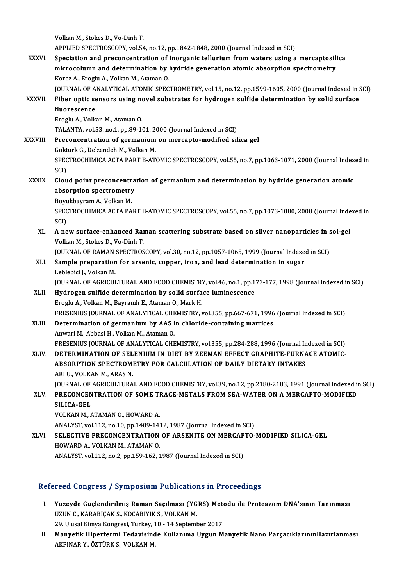VolkanM.,StokesD.,Vo-DinhT. Volkan M., Stokes D., Vo-Dinh T.<br>APPLIED SPECTROSCOPY, vol.54, no.12, pp.1842-1848, 2000 (Journal Indexed in SCI)<br>Speciation and presensentration of inergenis tellurium from waters using a Volkan M., Stokes D., Vo-Dinh T.<br>APPLIED SPECTROSCOPY, vol.54, no.12, pp.1842-1848, 2000 (Journal Indexed in SCI)<br>XXXVI. Speciation and preconcentration of inorganic tellurium from waters using a mercaptosilica<br>migrosolumn APPLIED SPECTROSCOPY, vol.54, no.12, pp.1842-1848, 2000 (Journal Indexed in SCI)<br>Speciation and preconcentration of inorganic tellurium from waters using a mercaptosili<br>microcolumn and determination by hydride generation a Speciation and preconcentration of inorganic tellurium from waters using a mercaptosilica microcolumn and determination by hydride generation atomic absorption spectrometry Korez A., Eroglu A., Volkan M., Ataman O. JOURNAL OF ANALYTICAL ATOMIC SPECTROMETRY, vol.15, no.12, pp.1599-1605, 2000 (Journal Indexed in SCI) Korez A., Eroglu A., Volkan M., Ataman O.<br>3 JOURNAL OF ANALYTICAL ATOMIC SPECTROMETRY, vol.15, no.12, pp.1599-1605, 2000 (Journal Indexed in Strates for<br>3 KXXVII. Fiber optic sensors using novel substrates for hydrogen sul **JOURNAL OF A**<br>Fiber optic se<br>fluorescence<br>Freglu A Volk Fiber optic sensors using no<br>fluorescence<br>Eroglu A., Volkan M., Ataman O.<br>TALANTA .vol 53, no 1, nn 90, 14 fluorescence<br>Eroglu A., Volkan M., Ataman O.<br>TALANTA, vol.53, no.1, pp.89-101, 2000 (Journal Indexed in SCI)<br>Presensentration of sermanium on mersente modified sil Eroglu A., Volkan M., Ataman O.<br>TALANTA, vol.53, no.1, pp.89-101, 2000 (Journal Indexed in SCI)<br>XXXVIII. Preconcentration of germanium on mercapto-modified silica gel<br>Gokturk G., Delzendeh M., Volkan M. TALANTA, vol.53, no.1, pp.89-101, 20<br>Preconcentration of germanium<br>Gokturk G., Delzendeh M., Volkan M.<br>SPECTPOCHIMICA ACTA PAPT P.AT Preconcentration of germanium on mercapto-modified silica gel<br>Gokturk G., Delzendeh M., Volkan M.<br>SPECTROCHIMICA ACTA PART B-ATOMIC SPECTROSCOPY, vol.55, no.7, pp.1063-1071, 2000 (Journal Indexed in<br>SCD Gokt<br>SPEC<br>SCI)<br>Clev SPECTROCHIMICA ACTA PART B-ATOMIC SPECTROSCOPY, vol.55, no.7, pp.1063-1071, 2000 (Journal Index<br>SCI)<br>XXXIX. Cloud point preconcentration of germanium and determination by hydride generation atomic<br>absorption apertromatry SCI)<br>Cloud point preconcentra<br>absorption spectrometry<br>Borukbayram A. Vellra M Cloud point preconcentr<br>absorption spectrometry<br>Boyukbayram A., Volkan M.<br>SPECTROCHIMICA ACTA BA absorption spectrometry<br>Boyukbayram A., Volkan M.<br>SPECTROCHIMICA ACTA PART B-ATOMIC SPECTROSCOPY, vol.55, no.7, pp.1073-1080, 2000 (Journal Indexed in<br>SCI) Boyukbayram A., Volkan M. SPECTROCHIMICA ACTA PART B-ATOMIC SPECTROSCOPY, vol.55, no.7, pp.1073-1080, 2000 (Journal Inde<br>SCI)<br>XL. A new surface-enhanced Raman scattering substrate based on silver nanoparticles in sol-gel<br>Vellian M. Stakes D. Ve Din SCI)<br>A new surface-enhanced Rai<br>Volkan M., Stokes D., Vo-Dinh T.<br>JOUPNAL OF PAMAN SPECTPOS A new surface-enhanced Raman scattering substrate based on silver nanoparticles in s<br>Volkan M., Stokes D., Vo-Dinh T.<br>JOURNAL OF RAMAN SPECTROSCOPY, vol.30, no.12, pp.1057-1065, 1999 (Journal Indexed in SCI)<br>Sample propora Volkan M., Stokes D., Vo-Dinh T.<br>JOURNAL OF RAMAN SPECTROSCOPY, vol.30, no.12, pp.1057-1065, 1999 (Journal Indexe<br>XLI. Sample preparation for arsenic, copper, iron, and lead determination in sugar<br>Leblabisi L. Volkan M. **JOURNAL OF RAMAN<br>Sample preparation<br>Leblebici J., Volkan M.<br>JOUPNAL OF ACPICUL** Sample preparation for arsenic, copper, iron, and lead determination in sugar<br>Leblebici J., Volkan M.<br>JOURNAL OF AGRICULTURAL AND FOOD CHEMISTRY, vol.46, no.1, pp.173-177, 1998 (Journal Indexed in SCI)<br>Hydrogen sulfide det Leblebici J., Volkan M.<br>JOURNAL OF AGRICULTURAL AND FOOD CHEMISTRY, vol.46, no.1, pp.1<br>XLII. Hydrogen sulfide determination by solid surface luminescence<br>Frogly A. Volkan M. Bayramh E. Ataman O. Mark H. FOURNAL OF AGRICULTURAL AND FOOD CHEMISTRY<br>Hydrogen sulfide determination by solid surfa<br>Eroglu A., Volkan M., Bayramh E., Ataman O., Mark H.<br>ERESENIUS JOURNAL OF ANALYTICAL CHEMISTRY Y XLII. Hydrogen sulfide determination by solid surface luminescence<br>Eroglu A., Volkan M., Bayramh E., Ataman O., Mark H.<br>FRESENIUS JOURNAL OF ANALYTICAL CHEMISTRY, vol.355, pp.667-671, 1996 (Journal Indexed in SCI) Eroglu A., Volkan M., Bayramh E., Ataman O., Mark H.<br>FRESENIUS JOURNAL OF ANALYTICAL CHEMISTRY, vol.355, pp.667-671, 1996<br>XLIII. Determination of germanium by AAS in chloride-containing matrices FRESENIUS JOURNAL OF ANALYTICAL CHE<br>Determination of germanium by AAS i<br>Anwari M., Abbasi H., Volkan M., Ataman O.<br>ERESENIUS JOURNAL OF ANALYTICAL CHE Anwari M., Abbasi H., Volkan M., Ataman O.<br>FRESENIUS JOURNAL OF ANALYTICAL CHEMISTRY, vol.355, pp.284-288, 1996 (Journal Indexed in SCI) Anwari M., Abbasi H., Volkan M., Ataman O.<br>FRESENIUS JOURNAL OF ANALYTICAL CHEMISTRY, vol.355, pp.284-288, 1996 (Journal Indexed in SCI)<br>XLIV. DETERMINATION OF SELENIUM IN DIET BY ZEEMAN EFFECT GRAPHITE-FURNACE ATOMIC-FRESENIUS JOURNAL OF ANALYTICAL CHEMISTRY, vol355, pp.284-288, 1996 (Journal In<br>DETERMINATION OF SELENIUM IN DIET BY ZEEMAN EFFECT GRAPHITE-FURNA<br>ABSORPTION SPECTROMETRY FOR CALCULATION OF DAILY DIETARY INTAKES<br>ABLU, VOLKA DETERMINATION OF SEL<br>ABSORPTION SPECTROM!<br>ARI U., VOLKAN M., ARAS N.<br>JOUPMAL OF ACRICULTURA ABSORPTION SPECTROMETRY FOR CALCULATION OF DAILY DIETARY INTAKES<br>ARI U., VOLKAN M., ARAS N.<br>JOURNAL OF AGRICULTURAL AND FOOD CHEMISTRY, vol.39, no.12, pp.2180-2183, 1991 (Journal Indexed in SCI)<br>PRECONCENTRATION OF SOME TR ARI U., VOLKAN M., ARAS N.<br>JOURNAL OF AGRICULTURAL AND FOOD CHEMISTRY, vol.39, no.12, pp.2180-2183, 1991 (Journal Indexed in<br>XLV. PRECONCENTRATION OF SOME TRACE-METALS FROM SEA-WATER ON A MERCAPTO-MODIFIED<br>SUJCA CEL **JOURNAL OF<br>PRECONCEN<br>SILICA-GEL<br>VOLKAN M** XLV. PRECONCENTRATION OF SOME TRACE-METALS FROM SEA-WATER ON A MERCAPTO-MODIFIED<br>SILICA-GEL<br>VOLKAN M., ATAMAN O., HOWARD A. ANALYST, vol.112, no.10, pp.1409-1412, 1987 (Journal Indexed in SCI) XLVI. SELECTIVE PRECONCENTRATION OF ARSENITE ON MERCAPTO-MODIFIED SILICA-GEL HOWARD A., VOLKAN M., ATAMAN O. ANALYST, vol.112, no.2, pp.159-162, 1987 (Journal Indexed in SCI)

## Refereed Congress / Symposium Publications in Proceedings

- I. Yüzeyde Güçlendirilmiş Raman Saçılması (YGRS) Metodu ile ProteazomDNA'sının Tanınması Yüzeyde Güçlendirilmiş Raman Saçılması (YG<br>UZUN C., KARABIÇAK S., KOCABIYIK S., VOLKAN M.<br>20 Ulucal Kimua Kongresi Turkay 10, 14 Septemb Yüzeyde Güçlendirilmiş Raman Saçılması (YGRS) Met<br>UZUN C., KARABIÇAK S., KOCABIYIK S., VOLKAN M.<br>29. Ulusal Kimya Kongresi, Turkey, 10 - 14 September 2017<br>Manustik Hinertermi Tedevisinde Kullanıma Hugun M
- 29. Ulusal Kimya Kongresi, Turkey, 10 14 September 2017<br>II. Manyetik Hipertermi Tedavisinde Kullanıma Uygun Manyetik Nano ParçacıklarınınHazırlanması AKPINARY.,ÖZTÜRKS.,VOLKANM.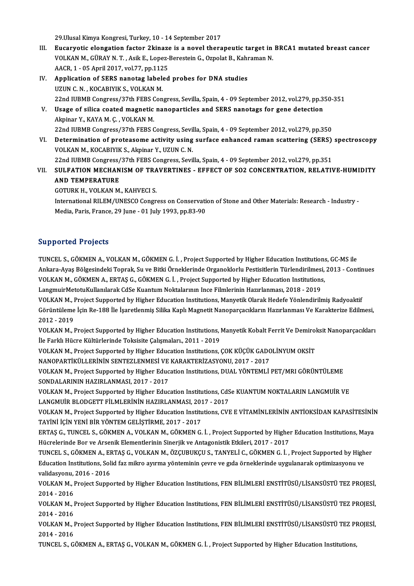29. Ulusal Kimya Kongresi, Turkey, 10 - 14 September 2017

- 29.Ulusal Kimya Kongresi, Turkey, 10 14 September 2017<br>III. Eucaryotic elongation factor 2kinaze is a novel therapeutic target in BRCA1 mutated breast cancer<br>VOLKAN M. CÜRAV N.T. Asik E. LORG Borestein G. Ornelat B. Kohr 29.Ulusal Kimya Kongresi, Turkey, 10 - 14 September 2017<br>Eucaryotic elongation factor 2kinaze is a novel therapeutic target in<br>VOLKAN M., GÜRAY N. T. , Asik E., Lopez-Berestein G., Ozpolat B., Kahraman N. Eucaryotic elongation factor 2kinaze<br>VOLKAN M., GÜRAY N. T. , Asik E., Lopez-<br>AACR, 1 - 05 April 2017, vol.77, pp.1125<br>Application of SERS nanotag labeled AACR, 1 - 05 April 2017, vol.77, pp.1125
- VOLKAN M., GÜRAY N. T. , Asik E., Lopez-Berestein G., Ozpolat B., Kahraman N.<br>AACR, 1 05 April 2017, vol.77, pp.1125<br>IV. Application of SERS nanotag labeled probes for DNA studies<br>UZUN C. N. , KOCABIYIK S., VOLKAN M. Application of SERS nanotag labeled probes for DNA studies<br>UZUN C. N. , KOCABIYIK S., VOLKAN M.<br>22nd IUBMB Congress/37th FEBS Congress, Sevilla, Spain, 4 - 09 September 2012, vol.279, pp.350-351<br>Usage of silice coated magn V. Usage of silica coated magnetic nanoparticles and SERS nanotags for gene detection<br>Akpinar Y., KAYA M. C., VOLKAN M. 22nd IUBMB Congress/37th FEBS (<br>Usage of silica coated magnetic<br>Akpinar Y., KAYA M. Ç. , VOLKAN M.<br>22nd UIBMB Congress/37th EEBS ( 22nd IUBMBCongress/37th FEBSCongress,Sevila,Spain,4 -09 September 2012,vol.279,pp.350 Akpinar Y., KAYA M. Ç. , VOLKAN M.<br>22nd IUBMB Congress/37th FEBS Congress, Sevilla, Spain, 4 - 09 September 2012, vol.279, pp.350<br>VI. Determination of proteasome activity using surface enhanced raman scattering (SERS) spec
- 22nd IUBMB Congress/37th FEBS Congress, Sevil<br>Determination of proteasome activity using<br>VOLKAN M., KOCABIYIK S., Akpinar Y., UZUN C. N. Determination of proteasome activity using surface enhanced raman scattering (SERS)<br>VOLKAN M., KOCABIYIK S., Akpinar Y., UZUN C. N.<br>22nd IUBMB Congress/37th FEBS Congress, Sevilla, Spain, 4 - 09 September 2012, vol.279, pp VOLKAN M., KOCABIYIK S., Akpinar Y., UZUN C. N.<br>22nd IUBMB Congress/37th FEBS Congress, Sevilla, Spain, 4 - 09 September 2012, vol.279, pp.351<br>VII. SULFATION MECHANISM OF TRAVERTINES - EFFECT OF SO2 CONCENTRATION, RELA

**22nd IUBMB Congress/<br>SULFATION MECHAN<br>AND TEMPERATURE** SULFATION MECHANISM OF TRA<br>AND TEMPERATURE<br>GOTURK H., VOLKAN M., KAHVECI S.<br>International BIJ EM (UNESCO Cengr

AND TEMPERATURE<br>GOTURK H., VOLKAN M., KAHVECI S.<br>International RILEM/UNESCO Congress on Conservation of Stone and Other Materials: Research - Industry -<br>Modia Poris France 29 June - 01 July 1993, pp.93-99 GOTURK H., VOLKAN M., KAHVECI S.<br>International RILEM/UNESCO Congress on Conservati<br>Media, Paris, France, 29 June - 01 July 1993, pp.83-90 Media, Paris, France, 29 June - 01 July 1993, pp.83-90<br>Supported Projects

Supported Projects<br>TUNCEL S., GÖKMEN A., VOLKAN M., GÖKMEN G. İ. , Project Supported by Higher Education Institutions, GC-MS ile<br>Ankara Avas Bölgesindeki Tenrek, Su ve Bitki Örneklerinde Organeklerlu Bestisitlerin Türkendi Ankara-Ayaş Bölgesindeki Toprak, Su ve Bitki Örneklerinde Organoklorlu Pestisitlerin Türlendirilmesi, 2013 - Continues<br>VOLKAN M., GÖKMEN A., ERTAŞ G., GÖKMEN G. İ. , Project Supported by Higher Education Institutions, TUNCEL S., GÖKMEN A., VOLKAN M., GÖKMEN G. İ. , Project Supported by Higher Education Institutions<br>Ankara-Ayaş Bölgesindeki Toprak, Su ve Bitki Örneklerinde Organoklorlu Pestisitlerin Türlendirilmesi,<br>VOLKAN M., GÖKMEN A.,

LangmuirMetotuKulanılarakCdSeKuantumNoktalarınınInce FilmlerininHazırlanması,2018 -2019

VOLKAN M., GÖKMEN A., ERTAŞ G., GÖKMEN G. İ. , Project Supported by Higher Education Institutions,<br>LangmuirMetotuKullanılarak CdSe Kuantum Noktalarının Ince Filmlerinin Hazırlanması, 2018 - 2019<br>VOLKAN M., Project Supporte LangmuirMetotuKullanılarak CdSe Kuantum Noktalarının Ince Filmlerinin Hazırlanması, 2018 - 2019<br>VOLKAN M., Project Supported by Higher Education Institutions, Manyetik Olarak Hedefe Yönlendirilmiş Radyoaktif<br>Görüntüleme İç VOLKAN M., <mark>1</mark><br>Görüntüleme<br>2012 - 2019<br>VOLKAN M Görüntüleme İçin Re-188 İle İşaretlenmiş Silika Kaplı Magnetit Nanoparçacıkların Hazırlanması Ve Karakterize Edilmesi,<br>2012 - 2019<br>VOLKAN M., Project Supported by Higher Education Institutions, Manyetik Kobalt Ferrit Ve De

2012 - 2019<br>VOLKAN M., Project Supported by Higher Education Institutions, l<br>İle Farklı Hücre Kültürlerinde Toksisite Çalışmaları., 2011 - 2019<br>VOLKAN M. Project Supported by Higher Education Institutions VOLKAN M., Project Supported by Higher Education Institutions, Manyetik Kobalt Ferrit Ve Demirol<br>İle Farklı Hücre Kültürlerinde Toksisite Çalışmaları., 2011 - 2019<br>VOLKAN M., Project Supported by Higher Education Instituti

İle Farklı Hücre Kültürlerinde Toksisite Çalışmaları., 2011 - 2019<br>VOLKAN M., Project Supported by Higher Education Institutions, ÇOK KÜÇÜK GADOLİNYUM OKSİT<br>NANOPARTİKÜLLERİNİN SENTEZLENMESİ VE KARAKTERİZASYONU, 2017 - 201 VOLKAN M., Project Supported by Higher Education Institutions, ÇOK KÜÇÜK GADOLİNYUM OKSİT<br>NANOPARTİKÜLLERİNİN SENTEZLENMESİ VE KARAKTERİZASYONU, 2017 - 2017<br>VOLKAN M., Project Supported by Higher Education Institutions, DU

NANOPARTIKÜLLERININ SENTEZLENMESI VE<br>VOLKAN M., Project Supported by Higher Educ<br>SONDALARININ HAZIRLANMASI, 2017 - 2017<br>VOLKAN M. Project Supported by Higher Educ VOLKAN M., Project Supported by Higher Education Institutions, DUAL YÖNTEMLİ PET/MRI GÖRÜNTÜLEME<br>SONDALARININ HAZIRLANMASI, 2017 - 2017<br>VOLKAN M., Project Supported by Higher Education Institutions, CdSe KUANTUM NOKTALARIN

SONDALARININ HAZIRLANMASI, 2017 - 2017<br>VOLKAN M., Project Supported by Higher Education Institutions, CdS<br>LANGMUİR BLODGETT FİLMLERİNİN HAZIRLANMASI, 2017 - 2017<br>VOLKAN M. Project Supported by Higher Education Institutions

LANGMUİR BLODGETT FİLMLERİNİN HAZIRLANMASI, 2017 - 2017<br>VOLKAN M., Project Supported by Higher Education Institutions, CVE E VİTAMİNLERİNİN ANTİOKSİDAN KAPASİTESİNİN TAYİNİ İÇİNYENİBİRYÖNTEMGELİŞTİRME,2017 -2017 VOLKAN M., Project Supported by Higher Education Institutions, CVE E VİTAMİNLERİNİN ANTİOKSİDAN KAPASİTESİNİN<br>TAYİNİ İÇİN YENİ BİR YÖNTEM GELİŞTİRME, 2017 - 2017<br>ERTAŞ G., TUNCEL S., GÖKMEN A., VOLKAN M., GÖKMEN G. İ. , Pr

TAYİNİ İÇİN YENİ BİR YÖNTEM GELİŞTİRME, 2017 - 2017<br>ERTAŞ G., TUNCEL S., GÖKMEN A., VOLKAN M., GÖKMEN G. İ. , Project Supported by Higher<br>Hücrelerinde Bor ve Arsenik Elementlerinin Sinerjik ve Antagonistik Etkileri, 2017 -ERTAŞ G., TUNCEL S., GÖKMEN A., VOLKAN M., GÖKMEN G. İ. , Project Supported by Higher Education Institutions, Maya<br>Hücrelerinde Bor ve Arsenik Elementlerinin Sinerjik ve Antagonistik Etkileri, 2017 - 2017<br>TUNCEL S., GÖKMEN

Hücrelerinde Bor ve Arsenik Elementlerinin Sinerjik ve Antagonistik Etkileri, 2017 - 2017<br>TUNCEL S., GÖKMEN A., ERTAŞ G., VOLKAN M., ÖZÇUBUKÇU S., TANYELİ C., GÖKMEN G. İ. , Project Supported by High<br>Education Institutions TUNCEL S., GÖKMEN A., EF<br>Education Institutions, Sol<br>validasyonu, 2016 - 2016<br>VOLKAN M., Preject Sunne Education Institutions, Solid faz mikro ayırma yönteminin çevre ve gıda örneklerinde uygulanarak optimizasyonu ve<br>validasyonu, 2016 - 2016<br>VOLKAN M., Project Supported by Higher Education Institutions, FEN BİLİMLERİ ENSTİT

validasyonu,<br>VOLKAN M., l<br>2014 - 2016<br>VOLKAN M. L VOLKAN M., Project Supported by Higher Education Institutions, FEN BİLİMLERİ ENSTİTÜSÜ/LİSANSÜSTÜ TEZ PROJESİ,<br>2014 - 2016<br>VOLKAN M., Project Supported by Higher Education Institutions, FEN BİLİMLERİ ENSTİTÜSÜ/LİSANSÜSTÜ T

2014 - 2016<br>VOLKAN M., Project Supported by Higher Education Institutions, FEN BİLİMLERİ ENSTİTÜSÜ/LİSANSÜSTÜ TEZ PROJESİ,<br>2014 - 2016 VOLKAN M., Project Supported by Higher Education Institutions, FEN BİLİMLERİ ENSTİTÜSÜ/LİSANSÜSTÜ TEZ PROJESİ,<br>2014 - 2016<br>VOLKAN M., Project Supported by Higher Education Institutions, FEN BİLİMLERİ ENSTİTÜSÜ/LİSANSÜSTÜ T

2014 - 2016<br>VOLKAN M., I<br>2014 - 2016<br>TUNCEL S. C VOLKAN M., Project Supported by Higher Education Institutions, FEN BİLİMLERİ ENSTİTÜSÜ/LİSANSÜSTÜ TEZ PI<br>2014 - 2016<br>TUNCEL S., GÖKMEN A., ERTAŞ G., VOLKAN M., GÖKMEN G. İ. , Project Supported by Higher Education Instituti